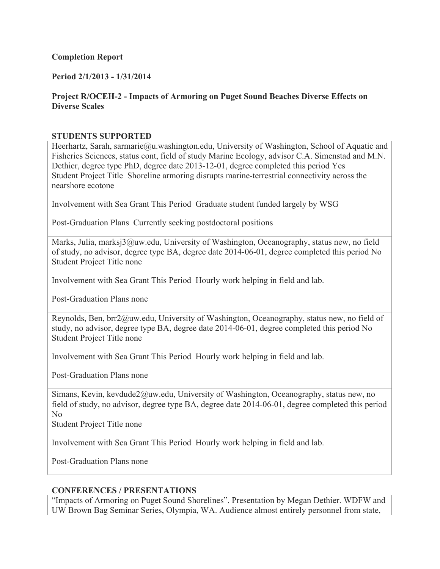# **Completion Report**

# **Period 2/1/2013 - 1/31/2014**

# **Project R/OCEH-2 - Impacts of Armoring on Puget Sound Beaches Diverse Effects on Diverse Scales**

# **STUDENTS SUPPORTED**

Heerhartz, Sarah, sarmarie@u.washington.edu, University of Washington, School of Aquatic and Fisheries Sciences, status cont, field of study Marine Ecology, advisor C.A. Simenstad and M.N. Dethier, degree type PhD, degree date 2013-12-01, degree completed this period Yes Student Project Title Shoreline armoring disrupts marine-terrestrial connectivity across the nearshore ecotone

Involvement with Sea Grant This Period Graduate student funded largely by WSG

Post-Graduation Plans Currently seeking postdoctoral positions

Marks, Julia, marksj3@uw.edu, University of Washington, Oceanography, status new, no field of study, no advisor, degree type BA, degree date 2014-06-01, degree completed this period No Student Project Title none

Involvement with Sea Grant This Period Hourly work helping in field and lab.

Post-Graduation Plans none

Reynolds, Ben, brr2@uw.edu, University of Washington, Oceanography, status new, no field of study, no advisor, degree type BA, degree date 2014-06-01, degree completed this period No Student Project Title none

Involvement with Sea Grant This Period Hourly work helping in field and lab.

Post-Graduation Plans none

Simans, Kevin, kevdude2@uw.edu, University of Washington, Oceanography, status new, no field of study, no advisor, degree type BA, degree date 2014-06-01, degree completed this period No

Student Project Title none

Involvement with Sea Grant This Period Hourly work helping in field and lab.

Post-Graduation Plans none

## **CONFERENCES / PRESENTATIONS**

"Impacts of Armoring on Puget Sound Shorelines". Presentation by Megan Dethier. WDFW and UW Brown Bag Seminar Series, Olympia, WA. Audience almost entirely personnel from state,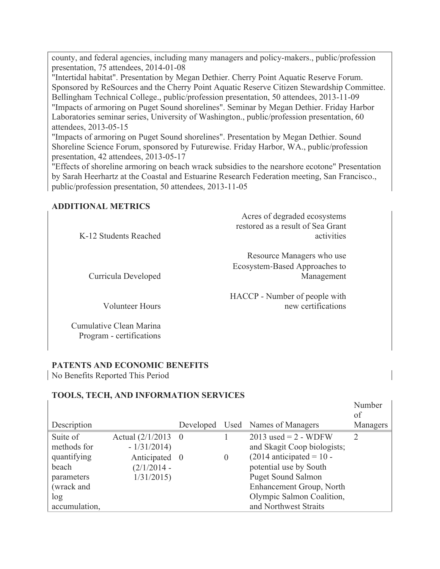county, and federal agencies, including many managers and policy-makers., public/profession presentation, 75 attendees, 2014-01-08

"Intertidal habitat". Presentation by Megan Dethier. Cherry Point Aquatic Reserve Forum. Sponsored by ReSources and the Cherry Point Aquatic Reserve Citizen Stewardship Committee. Bellingham Technical College., public/profession presentation, 50 attendees, 2013-11-09 "Impacts of armoring on Puget Sound shorelines". Seminar by Megan Dethier. Friday Harbor Laboratories seminar series, University of Washington., public/profession presentation, 60 attendees, 2013-05-15

"Impacts of armoring on Puget Sound shorelines". Presentation by Megan Dethier. Sound Shoreline Science Forum, sponsored by Futurewise. Friday Harbor, WA., public/profession presentation, 42 attendees, 2013-05-17

"Effects of shoreline armoring on beach wrack subsidies to the nearshore ecotone" Presentation by Sarah Heerhartz at the Coastal and Estuarine Research Federation meeting, San Francisco., public/profession presentation, 50 attendees, 2013-11-05

# **ADDITIONAL METRICS**

| Acres of degraded ecosystems<br>restored as a result of Sea Grant<br>activities | K-12 Students Reached |
|---------------------------------------------------------------------------------|-----------------------|
| Resource Managers who use<br>Ecosystem-Based Approaches to<br>Management        | Curricula Developed   |
| HACCP - Number of people with<br>new certifications                             | Volunteer Hours       |

Cumulative Clean Marina Program - certifications

# **PATENTS AND ECONOMIC BENEFITS**

No Benefits Reported This Period

# **TOOLS, TECH, AND INFORMATION SERVICES**

| Description                                                                                         |                                                                                        |          | Developed Used Names of Managers                                                                                                                                                                                             | Number<br>of<br>Managers |
|-----------------------------------------------------------------------------------------------------|----------------------------------------------------------------------------------------|----------|------------------------------------------------------------------------------------------------------------------------------------------------------------------------------------------------------------------------------|--------------------------|
| Suite of<br>methods for<br>quantifying<br>beach<br>parameters<br>(wrack and<br>log<br>accumulation, | Actual $(2/1/2013 \ 0)$<br>$-1/31/2014$<br>Anticipated 0<br>$(2/1/2014 -$<br>1/31/2015 | $\theta$ | $2013$ used = 2 - WDFW<br>and Skagit Coop biologists;<br>$(2014$ anticipated = 10 -<br>potential use by South<br><b>Puget Sound Salmon</b><br>Enhancement Group, North<br>Olympic Salmon Coalition,<br>and Northwest Straits | 2                        |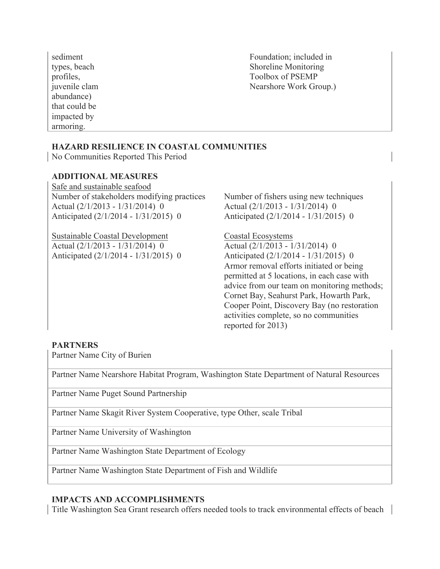sediment types, beach profiles, juvenile clam abundance) that could be impacted by armoring.

Foundation; included in Shoreline Monitoring Toolbox of PSEMP Nearshore Work Group.)

# **HAZARD RESILIENCE IN COASTAL COMMUNITIES**

No Communities Reported This Period

## **ADDITIONAL MEASURES**

Safe and sustainable seafood Number of stakeholders modifying practices Number of fishers using new techniques Actual (2/1/2013 - 1/31/2014) 0 Anticipated (2/1/2014 - 1/31/2015) 0

Sustainable Coastal Development Coastal Ecosystems Actual (2/1/2013 - 1/31/2014) 0 Anticipated (2/1/2014 - 1/31/2015) 0

Actual (2/1/2013 - 1/31/2014) 0 Anticipated (2/1/2014 - 1/31/2015) 0

Actual (2/1/2013 - 1/31/2014) 0 Anticipated (2/1/2014 - 1/31/2015) 0 Armor removal efforts initiated or being permitted at 5 locations, in each case with advice from our team on monitoring methods; Cornet Bay, Seahurst Park, Howarth Park, Cooper Point, Discovery Bay (no restoration activities complete, so no communities reported for 2013)

### **PARTNERS**

Partner Name City of Burien

Partner Name Nearshore Habitat Program, Washington State Department of Natural Resources

Partner Name Puget Sound Partnership

Partner Name Skagit River System Cooperative, type Other, scale Tribal

Partner Name University of Washington

Partner Name Washington State Department of Ecology

Partner Name Washington State Department of Fish and Wildlife

## **IMPACTS AND ACCOMPLISHMENTS**

Title Washington Sea Grant research offers needed tools to track environmental effects of beach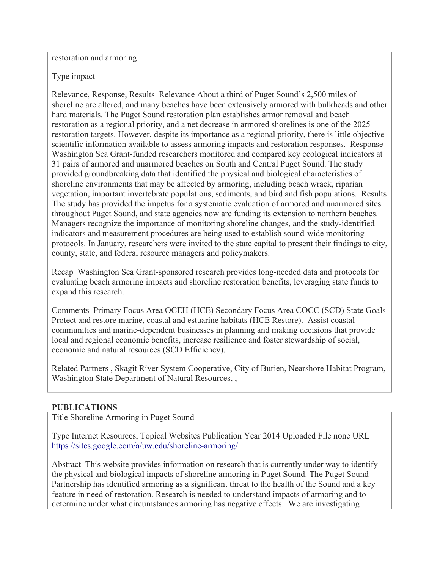restoration and armoring

Type impact

Relevance, Response, Results Relevance About a third of Puget Sound's 2,500 miles of shoreline are altered, and many beaches have been extensively armored with bulkheads and other hard materials. The Puget Sound restoration plan establishes armor removal and beach restoration as a regional priority, and a net decrease in armored shorelines is one of the 2025 restoration targets. However, despite its importance as a regional priority, there is little objective scientific information available to assess armoring impacts and restoration responses. Response Washington Sea Grant-funded researchers monitored and compared key ecological indicators at 31 pairs of armored and unarmored beaches on South and Central Puget Sound. The study provided groundbreaking data that identified the physical and biological characteristics of shoreline environments that may be affected by armoring, including beach wrack, riparian vegetation, important invertebrate populations, sediments, and bird and fish populations. Results The study has provided the impetus for a systematic evaluation of armored and unarmored sites throughout Puget Sound, and state agencies now are funding its extension to northern beaches. Managers recognize the importance of monitoring shoreline changes, and the study-identified indicators and measurement procedures are being used to establish sound-wide monitoring protocols. In January, researchers were invited to the state capital to present their findings to city, county, state, and federal resource managers and policymakers.

Recap Washington Sea Grant-sponsored research provides long-needed data and protocols for evaluating beach armoring impacts and shoreline restoration benefits, leveraging state funds to expand this research.

Comments Primary Focus Area OCEH (HCE) Secondary Focus Area COCC (SCD) State Goals Protect and restore marine, coastal and estuarine habitats (HCE Restore). Assist coastal communities and marine-dependent businesses in planning and making decisions that provide local and regional economic benefits, increase resilience and foster stewardship of social, economic and natural resources (SCD Efficiency).

Related Partners , Skagit River System Cooperative, City of Burien, Nearshore Habitat Program, Washington State Department of Natural Resources, ,

# **PUBLICATIONS**

Title Shoreline Armoring in Puget Sound

Type Internet Resources, Topical Websites Publication Year 2014 Uploaded File none URL https //sites.google.com/a/uw.edu/shoreline-armoring/

Abstract This website provides information on research that is currently under way to identify the physical and biological impacts of shoreline armoring in Puget Sound. The Puget Sound Partnership has identified armoring as a significant threat to the health of the Sound and a key feature in need of restoration. Research is needed to understand impacts of armoring and to determine under what circumstances armoring has negative effects. We are investigating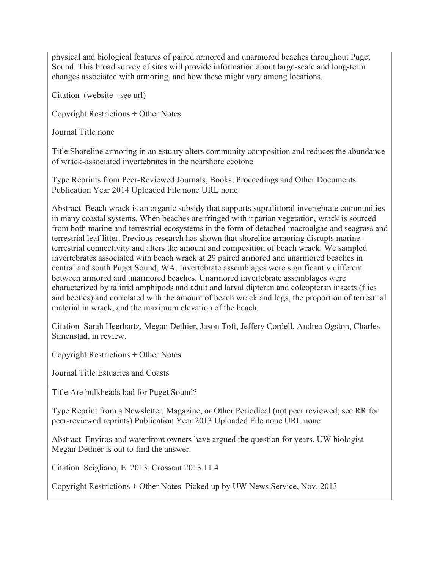physical and biological features of paired armored and unarmored beaches throughout Puget Sound. This broad survey of sites will provide information about large-scale and long-term changes associated with armoring, and how these might vary among locations.

Citation (website - see url)

Copyright Restrictions + Other Notes

Journal Title none

Title Shoreline armoring in an estuary alters community composition and reduces the abundance of wrack-associated invertebrates in the nearshore ecotone

Type Reprints from Peer-Reviewed Journals, Books, Proceedings and Other Documents Publication Year 2014 Uploaded File none URL none

Abstract Beach wrack is an organic subsidy that supports supralittoral invertebrate communities in many coastal systems. When beaches are fringed with riparian vegetation, wrack is sourced from both marine and terrestrial ecosystems in the form of detached macroalgae and seagrass and terrestrial leaf litter. Previous research has shown that shoreline armoring disrupts marineterrestrial connectivity and alters the amount and composition of beach wrack. We sampled invertebrates associated with beach wrack at 29 paired armored and unarmored beaches in central and south Puget Sound, WA. Invertebrate assemblages were significantly different between armored and unarmored beaches. Unarmored invertebrate assemblages were characterized by talitrid amphipods and adult and larval dipteran and coleopteran insects (flies and beetles) and correlated with the amount of beach wrack and logs, the proportion of terrestrial material in wrack, and the maximum elevation of the beach.

Citation Sarah Heerhartz, Megan Dethier, Jason Toft, Jeffery Cordell, Andrea Ogston, Charles Simenstad, in review.

Copyright Restrictions + Other Notes

Journal Title Estuaries and Coasts

Title Are bulkheads bad for Puget Sound?

Type Reprint from a Newsletter, Magazine, or Other Periodical (not peer reviewed; see RR for peer-reviewed reprints) Publication Year 2013 Uploaded File none URL none

Abstract Enviros and waterfront owners have argued the question for years. UW biologist Megan Dethier is out to find the answer.

Citation Scigliano, E. 2013. Crosscut 2013.11.4

Copyright Restrictions + Other Notes Picked up by UW News Service, Nov. 2013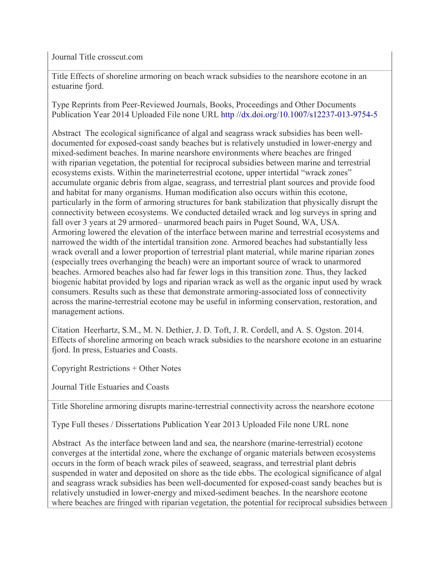Journal Title crosscut.com

Title Effects of shoreline armoring on beach wrack subsidies to the nearshore ecotone in an estuarine fjord.

Type Reprints from Peer-Reviewed Journals, Books, Proceedings and Other Documents Publication Year 2014 Uploaded File none URL http //dx.doi.org/10.1007/s12237-013-9754-5

Abstract The ecological significance of algal and seagrass wrack subsidies has been welldocumented for exposed-coast sandy beaches but is relatively unstudied in lower-energy and mixed-sediment beaches. In marine nearshore environments where beaches are fringed with riparian vegetation, the potential for reciprocal subsidies between marine and terrestrial ecosystems exists. Within the marineterrestrial ecotone, upper intertidal "wrack zones" accumulate organic debris from algae, seagrass, and terrestrial plant sources and provide food and habitat for many organisms. Human modification also occurs within this ecotone, particularly in the form of armoring structures for bank stabilization that physically disrupt the connectivity between ecosystems. We conducted detailed wrack and log surveys in spring and fall over 3 years at 29 armored– unarmored beach pairs in Puget Sound, WA, USA. Armoring lowered the elevation of the interface between marine and terrestrial ecosystems and narrowed the width of the intertidal transition zone. Armored beaches had substantially less wrack overall and a lower proportion of terrestrial plant material, while marine riparian zones (especially trees overhanging the beach) were an important source of wrack to unarmored beaches. Armored beaches also had far fewer logs in this transition zone. Thus, they lacked biogenic habitat provided by logs and riparian wrack as well as the organic input used by wrack consumers. Results such as these that demonstrate armoring-associated loss of connectivity across the marine-terrestrial ecotone may be useful in informing conservation, restoration, and management actions.

Citation Heerhartz, S.M., M. N. Dethier, J. D. Toft, J. R. Cordell, and A. S. Ogston. 2014. Effects of shoreline armoring on beach wrack subsidies to the nearshore ecotone in an estuarine fjord. In press, Estuaries and Coasts.

Copyright Restrictions + Other Notes

Journal Title Estuaries and Coasts

Title Shoreline armoring disrupts marine-terrestrial connectivity across the nearshore ecotone

Type Full theses / Dissertations Publication Year 2013 Uploaded File none URL none

Abstract As the interface between land and sea, the nearshore (marine-terrestrial) ecotone converges at the intertidal zone, where the exchange of organic materials between ecosystems occurs in the form of beach wrack piles of seaweed, seagrass, and terrestrial plant debris suspended in water and deposited on shore as the tide ebbs. The ecological significance of algal and seagrass wrack subsidies has been well-documented for exposed-coast sandy beaches but is relatively unstudied in lower-energy and mixed-sediment beaches. In the nearshore ecotone where beaches are fringed with riparian vegetation, the potential for reciprocal subsidies between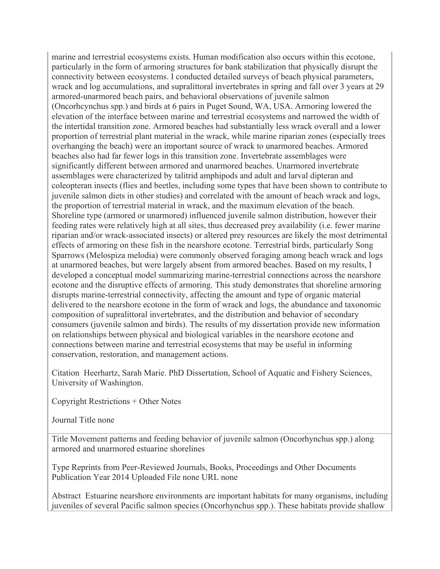marine and terrestrial ecosystems exists. Human modification also occurs within this ecotone, particularly in the form of armoring structures for bank stabilization that physically disrupt the connectivity between ecosystems. I conducted detailed surveys of beach physical parameters, wrack and log accumulations, and supralittoral invertebrates in spring and fall over 3 years at 29 armored-unarmored beach pairs, and behavioral observations of juvenile salmon (Oncorhcynchus spp.) and birds at 6 pairs in Puget Sound, WA, USA. Armoring lowered the elevation of the interface between marine and terrestrial ecosystems and narrowed the width of the intertidal transition zone. Armored beaches had substantially less wrack overall and a lower proportion of terrestrial plant material in the wrack, while marine riparian zones (especially trees overhanging the beach) were an important source of wrack to unarmored beaches. Armored beaches also had far fewer logs in this transition zone. Invertebrate assemblages were significantly different between armored and unarmored beaches. Unarmored invertebrate assemblages were characterized by talitrid amphipods and adult and larval dipteran and coleopteran insects (flies and beetles, including some types that have been shown to contribute to juvenile salmon diets in other studies) and correlated with the amount of beach wrack and logs, the proportion of terrestrial material in wrack, and the maximum elevation of the beach. Shoreline type (armored or unarmored) influenced juvenile salmon distribution, however their feeding rates were relatively high at all sites, thus decreased prey availability (i.e. fewer marine riparian and/or wrack-associated insects) or altered prey resources are likely the most detrimental effects of armoring on these fish in the nearshore ecotone. Terrestrial birds, particularly Song Sparrows (Melospiza melodia) were commonly observed foraging among beach wrack and logs at unarmored beaches, but were largely absent from armored beaches. Based on my results, I developed a conceptual model summarizing marine-terrestrial connections across the nearshore ecotone and the disruptive effects of armoring. This study demonstrates that shoreline armoring disrupts marine-terrestrial connectivity, affecting the amount and type of organic material delivered to the nearshore ecotone in the form of wrack and logs, the abundance and taxonomic composition of supralittoral invertebrates, and the distribution and behavior of secondary consumers (juvenile salmon and birds). The results of my dissertation provide new information on relationships between physical and biological variables in the nearshore ecotone and connections between marine and terrestrial ecosystems that may be useful in informing conservation, restoration, and management actions.

Citation Heerhartz, Sarah Marie. PhD Dissertation, School of Aquatic and Fishery Sciences, University of Washington.

Copyright Restrictions + Other Notes

Journal Title none

Title Movement patterns and feeding behavior of juvenile salmon (Oncorhynchus spp.) along armored and unarmored estuarine shorelines

Type Reprints from Peer-Reviewed Journals, Books, Proceedings and Other Documents Publication Year 2014 Uploaded File none URL none

Abstract Estuarine nearshore environments are important habitats for many organisms, including juveniles of several Pacific salmon species (Oncorhynchus spp.). These habitats provide shallow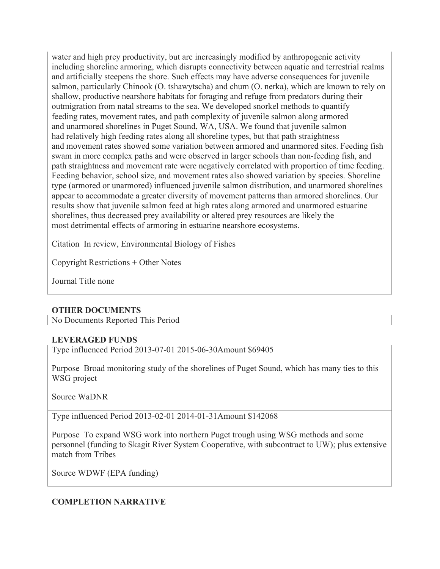water and high prey productivity, but are increasingly modified by anthropogenic activity including shoreline armoring, which disrupts connectivity between aquatic and terrestrial realms and artificially steepens the shore. Such effects may have adverse consequences for juvenile salmon, particularly Chinook (O. tshawytscha) and chum (O. nerka), which are known to rely on shallow, productive nearshore habitats for foraging and refuge from predators during their outmigration from natal streams to the sea. We developed snorkel methods to quantify feeding rates, movement rates, and path complexity of juvenile salmon along armored and unarmored shorelines in Puget Sound, WA, USA. We found that juvenile salmon had relatively high feeding rates along all shoreline types, but that path straightness and movement rates showed some variation between armored and unarmored sites. Feeding fish swam in more complex paths and were observed in larger schools than non-feeding fish, and path straightness and movement rate were negatively correlated with proportion of time feeding. Feeding behavior, school size, and movement rates also showed variation by species. Shoreline type (armored or unarmored) influenced juvenile salmon distribution, and unarmored shorelines appear to accommodate a greater diversity of movement patterns than armored shorelines. Our results show that juvenile salmon feed at high rates along armored and unarmored estuarine shorelines, thus decreased prey availability or altered prey resources are likely the most detrimental effects of armoring in estuarine nearshore ecosystems.

Citation In review, Environmental Biology of Fishes

Copyright Restrictions + Other Notes

Journal Title none

# **OTHER DOCUMENTS**

No Documents Reported This Period

## **LEVERAGED FUNDS**

Type influenced Period 2013-07-01 2015-06-30Amount \$69405

Purpose Broad monitoring study of the shorelines of Puget Sound, which has many ties to this WSG project

Source WaDNR

Type influenced Period 2013-02-01 2014-01-31Amount \$142068

Purpose To expand WSG work into northern Puget trough using WSG methods and some personnel (funding to Skagit River System Cooperative, with subcontract to UW); plus extensive match from Tribes

Source WDWF (EPA funding)

## **COMPLETION NARRATIVE**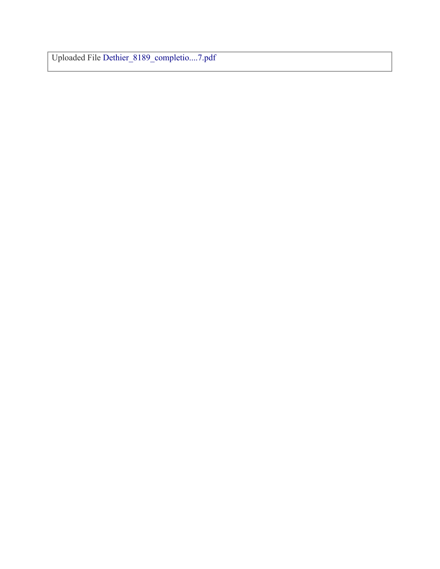Uploaded File Dethier\_8189\_completio....7.pdf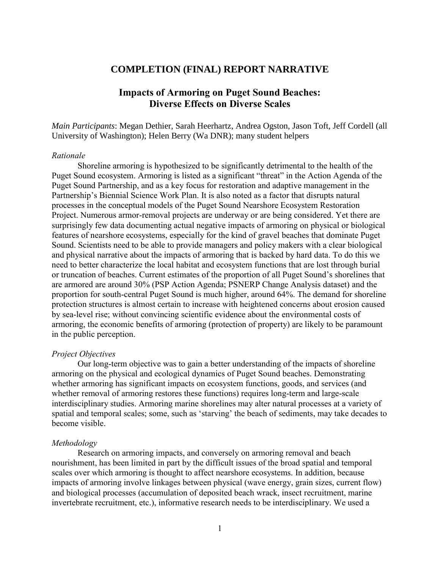# **COMPLETION (FINAL) REPORT NARRATIVE**

# **Impacts of Armoring on Puget Sound Beaches: Diverse Effects on Diverse Scales**

*Main Participants*: Megan Dethier, Sarah Heerhartz, Andrea Ogston, Jason Toft, Jeff Cordell (all University of Washington); Helen Berry (Wa DNR); many student helpers

#### *Rationale*

Shoreline armoring is hypothesized to be significantly detrimental to the health of the Puget Sound ecosystem. Armoring is listed as a significant "threat" in the Action Agenda of the Puget Sound Partnership, and as a key focus for restoration and adaptive management in the Partnership's Biennial Science Work Plan. It is also noted as a factor that disrupts natural processes in the conceptual models of the Puget Sound Nearshore Ecosystem Restoration Project. Numerous armor-removal projects are underway or are being considered. Yet there are surprisingly few data documenting actual negative impacts of armoring on physical or biological features of nearshore ecosystems, especially for the kind of gravel beaches that dominate Puget Sound. Scientists need to be able to provide managers and policy makers with a clear biological and physical narrative about the impacts of armoring that is backed by hard data. To do this we need to better characterize the local habitat and ecosystem functions that are lost through burial or truncation of beaches. Current estimates of the proportion of all Puget Sound's shorelines that are armored are around 30% (PSP Action Agenda; PSNERP Change Analysis dataset) and the proportion for south-central Puget Sound is much higher, around 64%. The demand for shoreline protection structures is almost certain to increase with heightened concerns about erosion caused by sea-level rise; without convincing scientific evidence about the environmental costs of armoring, the economic benefits of armoring (protection of property) are likely to be paramount in the public perception.

### *Project Objectives*

Our long-term objective was to gain a better understanding of the impacts of shoreline armoring on the physical and ecological dynamics of Puget Sound beaches. Demonstrating whether armoring has significant impacts on ecosystem functions, goods, and services (and whether removal of armoring restores these functions) requires long-term and large-scale interdisciplinary studies. Armoring marine shorelines may alter natural processes at a variety of spatial and temporal scales; some, such as 'starving' the beach of sediments, may take decades to become visible.

#### *Methodology*

Research on armoring impacts, and conversely on armoring removal and beach nourishment, has been limited in part by the difficult issues of the broad spatial and temporal scales over which armoring is thought to affect nearshore ecosystems. In addition, because impacts of armoring involve linkages between physical (wave energy, grain sizes, current flow) and biological processes (accumulation of deposited beach wrack, insect recruitment, marine invertebrate recruitment, etc.), informative research needs to be interdisciplinary. We used a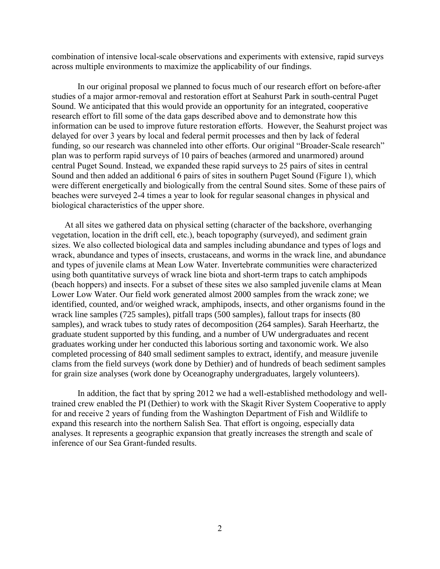combination of intensive local-scale observations and experiments with extensive, rapid surveys across multiple environments to maximize the applicability of our findings.

In our original proposal we planned to focus much of our research effort on before-after studies of a major armor-removal and restoration effort at Seahurst Park in south-central Puget Sound. We anticipated that this would provide an opportunity for an integrated, cooperative research effort to fill some of the data gaps described above and to demonstrate how this information can be used to improve future restoration efforts. However, the Seahurst project was delayed for over 3 years by local and federal permit processes and then by lack of federal funding, so our research was channeled into other efforts. Our original "Broader-Scale research" plan was to perform rapid surveys of 10 pairs of beaches (armored and unarmored) around central Puget Sound. Instead, we expanded these rapid surveys to 25 pairs of sites in central Sound and then added an additional 6 pairs of sites in southern Puget Sound (Figure 1), which were different energetically and biologically from the central Sound sites. Some of these pairs of beaches were surveyed 2-4 times a year to look for regular seasonal changes in physical and biological characteristics of the upper shore.

At all sites we gathered data on physical setting (character of the backshore, overhanging vegetation, location in the drift cell, etc.), beach topography (surveyed), and sediment grain sizes. We also collected biological data and samples including abundance and types of logs and wrack, abundance and types of insects, crustaceans, and worms in the wrack line, and abundance and types of juvenile clams at Mean Low Water. Invertebrate communities were characterized using both quantitative surveys of wrack line biota and short-term traps to catch amphipods (beach hoppers) and insects. For a subset of these sites we also sampled juvenile clams at Mean Lower Low Water. Our field work generated almost 2000 samples from the wrack zone; we identified, counted, and/or weighed wrack, amphipods, insects, and other organisms found in the wrack line samples (725 samples), pitfall traps (500 samples), fallout traps for insects (80 samples), and wrack tubes to study rates of decomposition (264 samples). Sarah Heerhartz, the graduate student supported by this funding, and a number of UW undergraduates and recent graduates working under her conducted this laborious sorting and taxonomic work. We also completed processing of 840 small sediment samples to extract, identify, and measure juvenile clams from the field surveys (work done by Dethier) and of hundreds of beach sediment samples for grain size analyses (work done by Oceanography undergraduates, largely volunteers).

In addition, the fact that by spring 2012 we had a well-established methodology and welltrained crew enabled the PI (Dethier) to work with the Skagit River System Cooperative to apply for and receive 2 years of funding from the Washington Department of Fish and Wildlife to expand this research into the northern Salish Sea. That effort is ongoing, especially data analyses. It represents a geographic expansion that greatly increases the strength and scale of inference of our Sea Grant-funded results.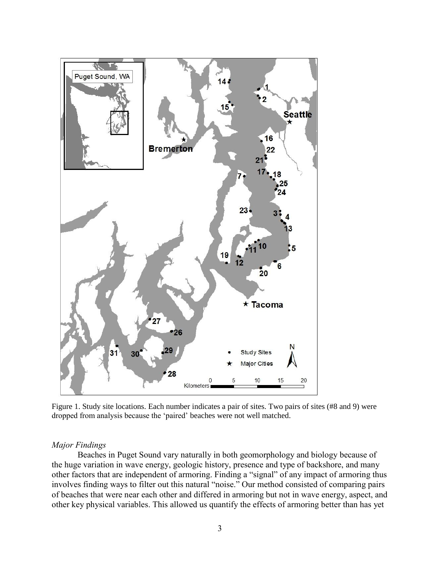

Figure 1. Study site locations. Each number indicates a pair of sites. Two pairs of sites (#8 and 9) were dropped from analysis because the 'paired' beaches were not well matched.

### *Major Findings*

Beaches in Puget Sound vary naturally in both geomorphology and biology because of the huge variation in wave energy, geologic history, presence and type of backshore, and many other factors that are independent of armoring. Finding a "signal" of any impact of armoring thus involves finding ways to filter out this natural "noise." Our method consisted of comparing pairs of beaches that were near each other and differed in armoring but not in wave energy, aspect, and other key physical variables. This allowed us quantify the effects of armoring better than has yet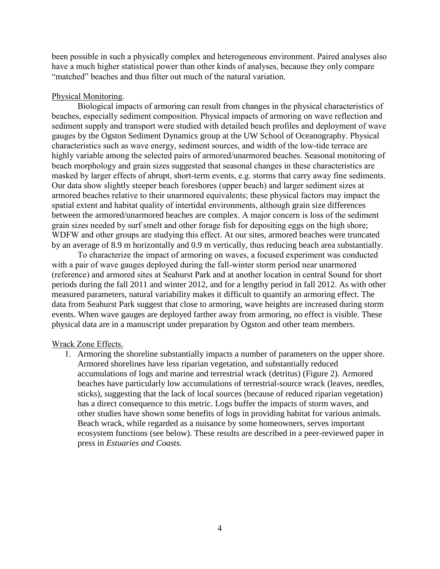been possible in such a physically complex and heterogeneous environment. Paired analyses also have a much higher statistical power than other kinds of analyses, because they only compare "matched" beaches and thus filter out much of the natural variation.

# Physical Monitoring.

Biological impacts of armoring can result from changes in the physical characteristics of beaches, especially sediment composition. Physical impacts of armoring on wave reflection and sediment supply and transport were studied with detailed beach profiles and deployment of wave gauges by the Ogston Sediment Dynamics group at the UW School of Oceanography. Physical characteristics such as wave energy, sediment sources, and width of the low-tide terrace are highly variable among the selected pairs of armored/unarmored beaches. Seasonal monitoring of beach morphology and grain sizes suggested that seasonal changes in these characteristics are masked by larger effects of abrupt, short-term events, e.g. storms that carry away fine sediments. Our data show slightly steeper beach foreshores (upper beach) and larger sediment sizes at armored beaches relative to their unarmored equivalents; these physical factors may impact the spatial extent and habitat quality of intertidal environments, although grain size differences between the armored/unarmored beaches are complex. A major concern is loss of the sediment grain sizes needed by surf smelt and other forage fish for depositing eggs on the high shore; WDFW and other groups are studying this effect. At our sites, armored beaches were truncated by an average of 8.9 m horizontally and 0.9 m vertically, thus reducing beach area substantially.

To characterize the impact of armoring on waves, a focused experiment was conducted with a pair of wave gauges deployed during the fall-winter storm period near unarmored (reference) and armored sites at Seahurst Park and at another location in central Sound for short periods during the fall 2011 and winter 2012, and for a lengthy period in fall 2012. As with other measured parameters, natural variability makes it difficult to quantify an armoring effect. The data from Seahurst Park suggest that close to armoring, wave heights are increased during storm events. When wave gauges are deployed farther away from armoring, no effect is visible. These physical data are in a manuscript under preparation by Ogston and other team members.

## Wrack Zone Effects.

1. Armoring the shoreline substantially impacts a number of parameters on the upper shore. Armored shorelines have less riparian vegetation, and substantially reduced accumulations of logs and marine and terrestrial wrack (detritus) (Figure 2). Armored beaches have particularly low accumulations of terrestrial-source wrack (leaves, needles, sticks), suggesting that the lack of local sources (because of reduced riparian vegetation) has a direct consequence to this metric. Logs buffer the impacts of storm waves, and other studies have shown some benefits of logs in providing habitat for various animals. Beach wrack, while regarded as a nuisance by some homeowners, serves important ecosystem functions (see below). These results are described in a peer-reviewed paper in press in *Estuaries and Coasts.*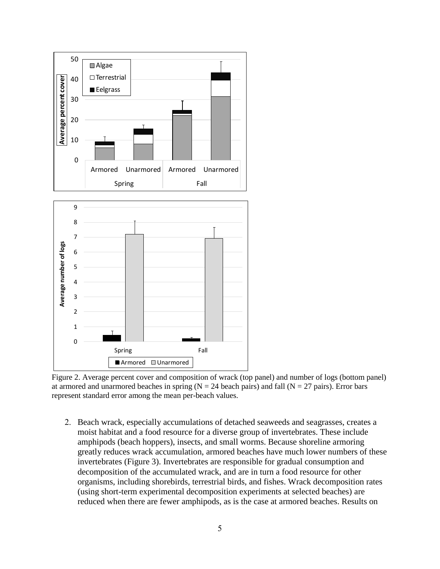

Figure 2. Average percent cover and composition of wrack (top panel) and number of logs (bottom panel) at armored and unarmored beaches in spring  $(N = 24$  beach pairs) and fall  $(N = 27$  pairs). Error bars represent standard error among the mean per-beach values.

2. Beach wrack, especially accumulations of detached seaweeds and seagrasses, creates a moist habitat and a food resource for a diverse group of invertebrates. These include amphipods (beach hoppers), insects, and small worms. Because shoreline armoring greatly reduces wrack accumulation, armored beaches have much lower numbers of these invertebrates (Figure 3). Invertebrates are responsible for gradual consumption and decomposition of the accumulated wrack, and are in turn a food resource for other organisms, including shorebirds, terrestrial birds, and fishes. Wrack decomposition rates (using short-term experimental decomposition experiments at selected beaches) are reduced when there are fewer amphipods, as is the case at armored beaches. Results on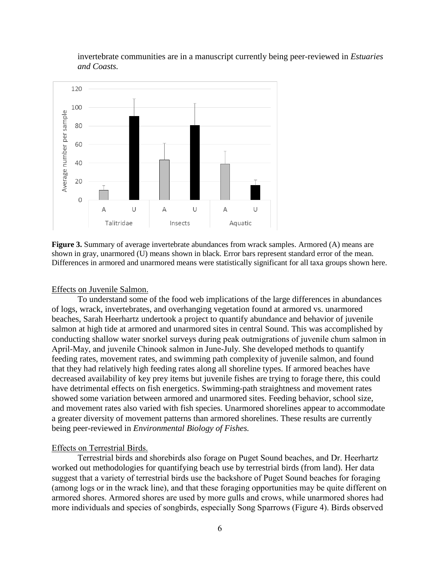

invertebrate communities are in a manuscript currently being peer-reviewed in *Estuaries and Coasts.*

**Figure 3.** Summary of average invertebrate abundances from wrack samples. Armored (A) means are shown in gray, unarmored (U) means shown in black. Error bars represent standard error of the mean. Differences in armored and unarmored means were statistically significant for all taxa groups shown here.

#### Effects on Juvenile Salmon.

To understand some of the food web implications of the large differences in abundances of logs, wrack, invertebrates, and overhanging vegetation found at armored vs. unarmored beaches, Sarah Heerhartz undertook a project to quantify abundance and behavior of juvenile salmon at high tide at armored and unarmored sites in central Sound. This was accomplished by conducting shallow water snorkel surveys during peak outmigrations of juvenile chum salmon in April-May, and juvenile Chinook salmon in June-July. She developed methods to quantify feeding rates, movement rates, and swimming path complexity of juvenile salmon, and found that they had relatively high feeding rates along all shoreline types. If armored beaches have decreased availability of key prey items but juvenile fishes are trying to forage there, this could have detrimental effects on fish energetics. Swimming-path straightness and movement rates showed some variation between armored and unarmored sites. Feeding behavior, school size, and movement rates also varied with fish species. Unarmored shorelines appear to accommodate a greater diversity of movement patterns than armored shorelines. These results are currently being peer-reviewed in *Environmental Biology of Fishes.*

### Effects on Terrestrial Birds.

Terrestrial birds and shorebirds also forage on Puget Sound beaches, and Dr. Heerhartz worked out methodologies for quantifying beach use by terrestrial birds (from land). Her data suggest that a variety of terrestrial birds use the backshore of Puget Sound beaches for foraging (among logs or in the wrack line), and that these foraging opportunities may be quite different on armored shores. Armored shores are used by more gulls and crows, while unarmored shores had more individuals and species of songbirds, especially Song Sparrows (Figure 4). Birds observed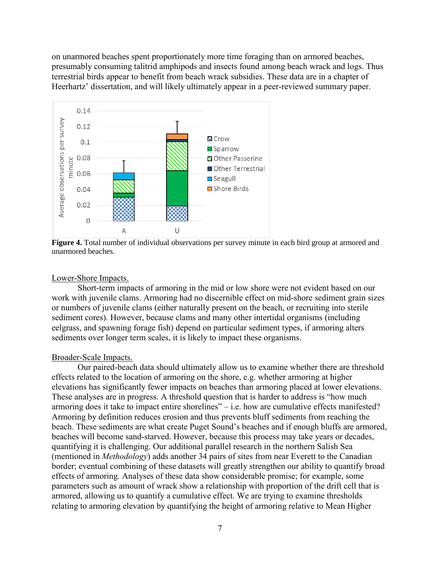on unarmored beaches spent proportionately more time foraging than on armored beaches, presumably consuming talitrid amphipods and insects found among beach wrack and logs. Thus terrestrial birds appear to benefit from beach wrack subsidies. These data are in a chapter of Heerhartz' dissertation, and will likely ultimately appear in a peer-reviewed summary paper.



**Figure 4.** Total number of individual observations per survey minute in each bird group at armored and unarmored beaches.

#### Lower-Shore Impacts.

Short-term impacts of armoring in the mid or low shore were not evident based on our work with juvenile clams. Armoring had no discernible effect on mid-shore sediment grain sizes or numbers of juvenile clams (either naturally present on the beach, or recruiting into sterile sediment cores). However, because clams and many other intertidal organisms (including eelgrass, and spawning forage fish) depend on particular sediment types, if armoring alters sediments over longer term scales, it is likely to impact these organisms.

### Broader-Scale Impacts.

Our paired-beach data should ultimately allow us to examine whether there are threshold effects related to the location of armoring on the shore, e.g. whether armoring at higher elevations has significantly fewer impacts on beaches than armoring placed at lower elevations. These analyses are in progress. A threshold question that is harder to address is "how much armoring does it take to impact entire shorelines" – i.e. how are cumulative effects manifested? Armoring by definition reduces erosion and thus prevents bluff sediments from reaching the beach. These sediments are what create Puget Sound's beaches and if enough bluffs are armored, beaches will become sand-starved. However, because this process may take years or decades, quantifying it is challenging. Our additional parallel research in the northern Salish Sea (mentioned in *Methodology*) adds another 34 pairs of sites from near Everett to the Canadian border; eventual combining of these datasets will greatly strengthen our ability to quantify broad effects of armoring. Analyses of these data show considerable promise; for example, some parameters such as amount of wrack show a relationship with proportion of the drift cell that is armored, allowing us to quantify a cumulative effect. We are trying to examine thresholds relating to armoring elevation by quantifying the height of armoring relative to Mean Higher